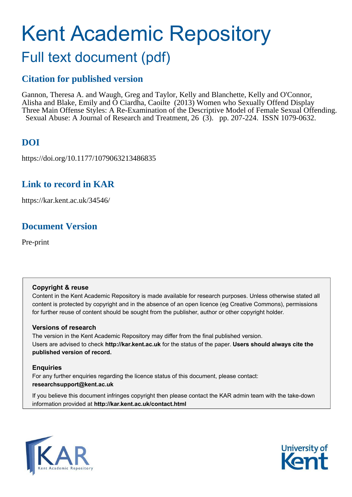# Kent Academic Repository

## Full text document (pdf)

## **Citation for published version**

Gannon, Theresa A. and Waugh, Greg and Taylor, Kelly and Blanchette, Kelly and O'Connor, Alisha and Blake, Emily and Ó Ciardha, Caoilte (2013) Women who Sexually Offend Display Three Main Offense Styles: A Re-Examination of the Descriptive Model of Female Sexual Offending. Sexual Abuse: A Journal of Research and Treatment, 26 (3). pp. 207-224. ISSN 1079-0632.

## **DOI**

https://doi.org/10.1177/1079063213486835

## **Link to record in KAR**

https://kar.kent.ac.uk/34546/

## **Document Version**

Pre-print

#### **Copyright & reuse**

Content in the Kent Academic Repository is made available for research purposes. Unless otherwise stated all content is protected by copyright and in the absence of an open licence (eg Creative Commons), permissions for further reuse of content should be sought from the publisher, author or other copyright holder.

#### **Versions of research**

The version in the Kent Academic Repository may differ from the final published version. Users are advised to check **http://kar.kent.ac.uk** for the status of the paper. **Users should always cite the published version of record.**

#### **Enquiries**

For any further enquiries regarding the licence status of this document, please contact: **researchsupport@kent.ac.uk**

If you believe this document infringes copyright then please contact the KAR admin team with the take-down information provided at **http://kar.kent.ac.uk/contact.html**



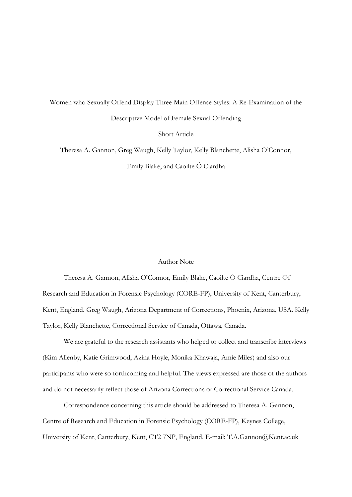Women who Sexually Offend Display Three Main Offense Styles: A Re-Examination of the Descriptive Model of Female Sexual Offending Short Article

Theresa A. Gannon, Greg Waugh, Kelly Taylor, Kelly Blanchette, Alisha O'Connor, Emily Blake, and Caoilte Ó Ciardha

#### Author Note

Theresa A. Gannon, Alisha O'Connor, Emily Blake, Caoilte Ó Ciardha, Centre Of Research and Education in Forensic Psychology (CORE-FP), University of Kent, Canterbury, Kent, England. Greg Waugh, Arizona Department of Corrections, Phoenix, Arizona, USA. Kelly Taylor, Kelly Blanchette, Correctional Service of Canada, Ottawa, Canada.

We are grateful to the research assistants who helped to collect and transcribe interviews (Kim Allenby, Katie Grimwood, Azina Hoyle, Monika Khawaja, Amie Miles) and also our participants who were so forthcoming and helpful. The views expressed are those of the authors and do not necessarily reflect those of Arizona Corrections or Correctional Service Canada.

Correspondence concerning this article should be addressed to Theresa A. Gannon, Centre of Research and Education in Forensic Psychology (CORE-FP), Keynes College, University of Kent, Canterbury, Kent, CT2 7NP, England. E-mail: T.A.Gannon@Kent.ac.uk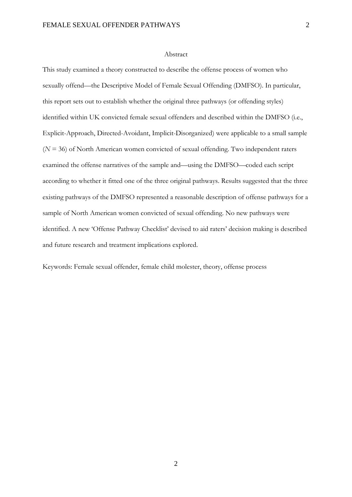#### Abstract

This study examined a theory constructed to describe the offense process of women who sexually offend—the Descriptive Model of Female Sexual Offending (DMFSO). In particular, this report sets out to establish whether the original three pathways (or offending styles) identified within UK convicted female sexual offenders and described within the DMFSO (i.e., Explicit-Approach, Directed-Avoidant, Implicit-Disorganized) were applicable to a small sample (*N* = 36) of North American women convicted of sexual offending. Two independent raters examined the offense narratives of the sample and—using the DMFSO—coded each script according to whether it fitted one of the three original pathways. Results suggested that the three existing pathways of the DMFSO represented a reasonable description of offense pathways for a sample of North American women convicted of sexual offending. No new pathways were identified. A new 'Offense Pathway Checklist' devised to aid raters' decision making is described and future research and treatment implications explored.

Keywords: Female sexual offender, female child molester, theory, offense process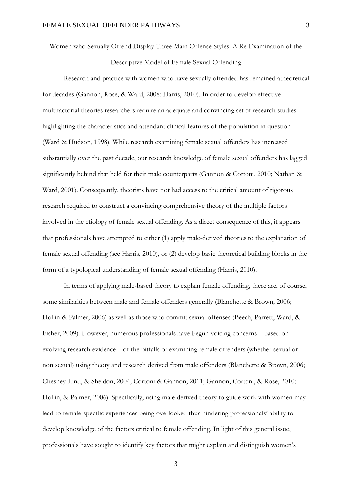Women who Sexually Offend Display Three Main Offense Styles: A Re-Examination of the

Descriptive Model of Female Sexual Offending

Research and practice with women who have sexually offended has remained atheoretical for decades (Gannon, Rose, & Ward, 2008; Harris, 2010). In order to develop effective multifactorial theories researchers require an adequate and convincing set of research studies highlighting the characteristics and attendant clinical features of the population in question (Ward & Hudson, 1998). While research examining female sexual offenders has increased substantially over the past decade, our research knowledge of female sexual offenders has lagged significantly behind that held for their male counterparts (Gannon & Cortoni, 2010; Nathan & Ward, 2001). Consequently, theorists have not had access to the critical amount of rigorous research required to construct a convincing comprehensive theory of the multiple factors involved in the etiology of female sexual offending. As a direct consequence of this, it appears that professionals have attempted to either (1) apply male-derived theories to the explanation of female sexual offending (see Harris, 2010), or (2) develop basic theoretical building blocks in the form of a typological understanding of female sexual offending (Harris, 2010).

In terms of applying male-based theory to explain female offending, there are, of course, some similarities between male and female offenders generally (Blanchette & Brown, 2006; Hollin & Palmer, 2006) as well as those who commit sexual offenses (Beech, Parrett, Ward, & Fisher, 2009). However, numerous professionals have begun voicing concerns—based on evolving research evidence—of the pitfalls of examining female offenders (whether sexual or non sexual) using theory and research derived from male offenders (Blanchette & Brown, 2006; Chesney-Lind, & Sheldon, 2004; Cortoni & Gannon, 2011; Gannon, Cortoni, & Rose, 2010; Hollin, & Palmer, 2006). Specifically, using male-derived theory to guide work with women may lead to female-specific experiences being overlooked thus hindering professionals' ability to develop knowledge of the factors critical to female offending. In light of this general issue, professionals have sought to identify key factors that might explain and distinguish women's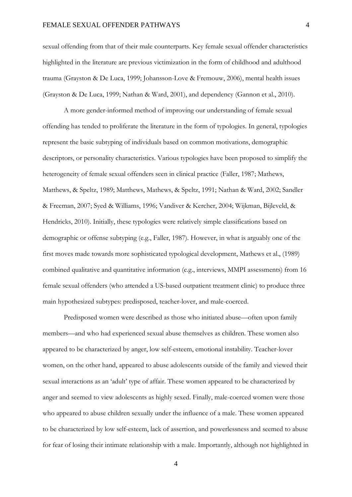sexual offending from that of their male counterparts. Key female sexual offender characteristics highlighted in the literature are previous victimization in the form of childhood and adulthood trauma (Grayston & De Luca, 1999; Johansson-Love & Fremouw, 2006), mental health issues (Grayston & De Luca, 1999; Nathan & Ward, 2001), and dependency (Gannon et al., 2010).

A more gender-informed method of improving our understanding of female sexual offending has tended to proliferate the literature in the form of typologies. In general, typologies represent the basic subtyping of individuals based on common motivations, demographic descriptors, or personality characteristics. Various typologies have been proposed to simplify the heterogeneity of female sexual offenders seen in clinical practice (Faller, 1987; Mathews, Matthews, & Speltz, 1989; Matthews, Mathews, & Speltz, 1991; Nathan & Ward, 2002; Sandler & Freeman, 2007; Syed & Williams, 1996; Vandiver & Kercher, 2004; Wijkman, Bijleveld, & Hendricks, 2010). Initially, these typologies were relatively simple classifications based on demographic or offense subtyping (e.g., Faller, 1987). However, in what is arguably one of the first moves made towards more sophisticated typological development, Mathews et al., (1989) combined qualitative and quantitative information (e.g., interviews, MMPI assessments) from 16 female sexual offenders (who attended a US-based outpatient treatment clinic) to produce three main hypothesized subtypes: predisposed, teacher-lover, and male-coerced.

Predisposed women were described as those who initiated abuse—often upon family members—and who had experienced sexual abuse themselves as children. These women also appeared to be characterized by anger, low self-esteem, emotional instability. Teacher-lover women, on the other hand, appeared to abuse adolescents outside of the family and viewed their sexual interactions as an 'adult' type of affair. These women appeared to be characterized by anger and seemed to view adolescents as highly sexed. Finally, male-coerced women were those who appeared to abuse children sexually under the influence of a male. These women appeared to be characterized by low self-esteem, lack of assertion, and powerlessness and seemed to abuse for fear of losing their intimate relationship with a male. Importantly, although not highlighted in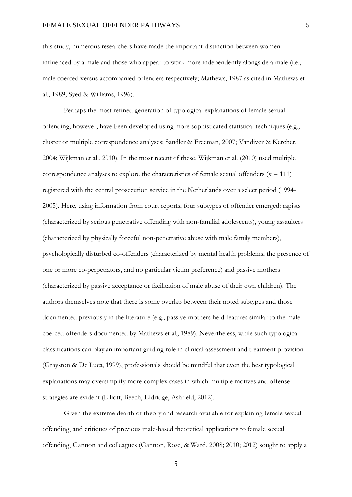this study, numerous researchers have made the important distinction between women influenced by a male and those who appear to work more independently alongside a male (i.e., male coerced versus accompanied offenders respectively; Mathews, 1987 as cited in Mathews et al., 1989; Syed & Williams, 1996).

Perhaps the most refined generation of typological explanations of female sexual offending, however, have been developed using more sophisticated statistical techniques (e.g., cluster or multiple correspondence analyses; Sandler & Freeman, 2007; Vandiver & Kercher, 2004; Wijkman et al., 2010). In the most recent of these, Wijkman et al. (2010) used multiple correspondence analyses to explore the characteristics of female sexual offenders ( $n = 111$ ) registered with the central prosecution service in the Netherlands over a select period (1994- 2005). Here, using information from court reports, four subtypes of offender emerged: rapists (characterized by serious penetrative offending with non-familial adolescents), young assaulters (characterized by physically forceful non-penetrative abuse with male family members), psychologically disturbed co-offenders (characterized by mental health problems, the presence of one or more co-perpetrators, and no particular victim preference) and passive mothers (characterized by passive acceptance or facilitation of male abuse of their own children). The authors themselves note that there is some overlap between their noted subtypes and those documented previously in the literature (e.g., passive mothers held features similar to the malecoerced offenders documented by Mathews et al., 1989). Nevertheless, while such typological classifications can play an important guiding role in clinical assessment and treatment provision (Grayston & De Luca, 1999), professionals should be mindful that even the best typological explanations may oversimplify more complex cases in which multiple motives and offense strategies are evident (Elliott, Beech, Eldridge, Ashfield, 2012).

Given the extreme dearth of theory and research available for explaining female sexual offending, and critiques of previous male-based theoretical applications to female sexual offending, Gannon and colleagues (Gannon, Rose, & Ward, 2008; 2010; 2012) sought to apply a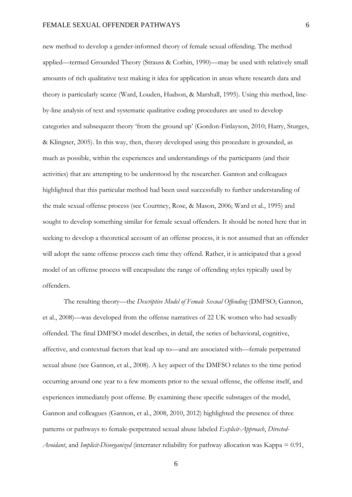new method to develop a gender-informed theory of female sexual offending. The method applied—termed Grounded Theory (Strauss & Corbin, 1990)—may be used with relatively small amounts of rich qualitative text making it idea for application in areas where research data and theory is particularly scarce (Ward, Louden, Hudson, & Marshall, 1995). Using this method, lineby-line analysis of text and systematic qualitative coding procedures are used to develop categories and subsequent theory 'from the ground up' (Gordon-Finlayson, 2010; Harry, Sturges, & Klingner, 2005). In this way, then, theory developed using this procedure is grounded, as much as possible, within the experiences and understandings of the participants (and their activities) that are attempting to be understood by the researcher. Gannon and colleagues highlighted that this particular method had been used successfully to further understanding of the male sexual offense process (see Courtney, Rose, & Mason, 2006; Ward et al., 1995) and sought to develop something similar for female sexual offenders. It should be noted here that in seeking to develop a theoretical account of an offense process, it is not assumed that an offender will adopt the same offense process each time they offend. Rather, it is anticipated that a good model of an offense process will encapsulate the range of offending styles typically used by offenders.

The resulting theory—the *Descriptive Model of Female Sexual Offending* (DMFSO; Gannon, et al., 2008)—was developed from the offense narratives of 22 UK women who had sexually offended. The final DMFSO model describes, in detail, the series of behavioral, cognitive, affective, and contextual factors that lead up to—and are associated with—female perpetrated sexual abuse (see Gannon, et al., 2008). A key aspect of the DMFSO relates to the time period occurring around one year to a few moments prior to the sexual offense, the offense itself, and experiences immediately post offense. By examining these specific substages of the model, Gannon and colleagues (Gannon, et al., 2008, 2010, 2012) highlighted the presence of three patterns or pathways to female-perpetrated sexual abuse labeled *Explicit-Approach*, *Directed-Avoidant*, and *Implicit-Disorganized* (interrater reliability for pathway allocation was Kappa = 0.91,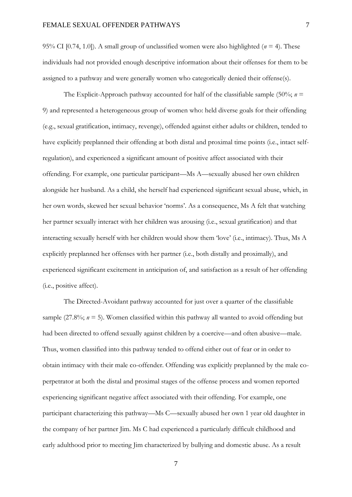95% CI [0.74, 1.0]). A small group of unclassified women were also highlighted ( $n = 4$ ). These individuals had not provided enough descriptive information about their offenses for them to be assigned to a pathway and were generally women who categorically denied their offense(s).

The Explicit-Approach pathway accounted for half of the classifiable sample (50%;  $n =$ 9) and represented a heterogeneous group of women who: held diverse goals for their offending (e.g., sexual gratification, intimacy, revenge), offended against either adults or children, tended to have explicitly preplanned their offending at both distal and proximal time points (i.e., intact selfregulation), and experienced a significant amount of positive affect associated with their offending. For example, one particular participant—Ms A—sexually abused her own children alongside her husband. As a child, she herself had experienced significant sexual abuse, which, in her own words, skewed her sexual behavior 'norms'. As a consequence, Ms A felt that watching her partner sexually interact with her children was arousing (i.e., sexual gratification) and that interacting sexually herself with her children would show them 'love' (i.e., intimacy). Thus, Ms A explicitly preplanned her offenses with her partner (i.e., both distally and proximally), and experienced significant excitement in anticipation of, and satisfaction as a result of her offending (i.e., positive affect).

The Directed-Avoidant pathway accounted for just over a quarter of the classifiable sample  $(27.8\%; n = 5)$ . Women classified within this pathway all wanted to avoid offending but had been directed to offend sexually against children by a coercive—and often abusive—male. Thus, women classified into this pathway tended to offend either out of fear or in order to obtain intimacy with their male co-offender. Offending was explicitly preplanned by the male coperpetrator at both the distal and proximal stages of the offense process and women reported experiencing significant negative affect associated with their offending. For example, one participant characterizing this pathway—Ms C—sexually abused her own 1 year old daughter in the company of her partner Jim. Ms C had experienced a particularly difficult childhood and early adulthood prior to meeting Jim characterized by bullying and domestic abuse. As a result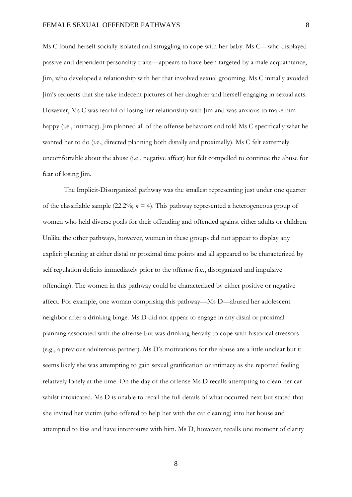Ms C found herself socially isolated and struggling to cope with her baby. Ms C—who displayed passive and dependent personality traits—appears to have been targeted by a male acquaintance, Jim, who developed a relationship with her that involved sexual grooming. Ms C initially avoided Jim's requests that she take indecent pictures of her daughter and herself engaging in sexual acts. However, Ms C was fearful of losing her relationship with Jim and was anxious to make him happy (i.e., intimacy). Jim planned all of the offense behaviors and told Ms C specifically what he wanted her to do (i.e., directed planning both distally and proximally). Ms C felt extremely uncomfortable about the abuse (i.e., negative affect) but felt compelled to continue the abuse for fear of losing Jim.

The Implicit-Disorganized pathway was the smallest representing just under one quarter of the classifiable sample (22.2%; *n* = 4). This pathway represented a heterogeneous group of women who held diverse goals for their offending and offended against either adults or children. Unlike the other pathways, however, women in these groups did not appear to display any explicit planning at either distal or proximal time points and all appeared to be characterized by self regulation deficits immediately prior to the offense (i.e., disorganized and impulsive offending). The women in this pathway could be characterized by either positive or negative affect. For example, one woman comprising this pathway—Ms D—abused her adolescent neighbor after a drinking binge. Ms D did not appear to engage in any distal or proximal planning associated with the offense but was drinking heavily to cope with historical stressors (e.g., a previous adulterous partner). Ms D's motivations for the abuse are a little unclear but it seems likely she was attempting to gain sexual gratification or intimacy as she reported feeling relatively lonely at the time. On the day of the offense Ms D recalls attempting to clean her car whilst intoxicated. Ms D is unable to recall the full details of what occurred next but stated that she invited her victim (who offered to help her with the car cleaning) into her house and attempted to kiss and have intercourse with him. Ms D, however, recalls one moment of clarity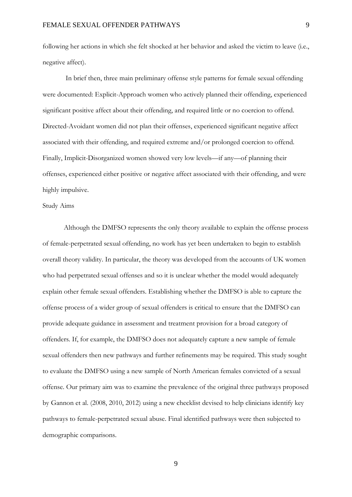following her actions in which she felt shocked at her behavior and asked the victim to leave (i.e., negative affect).

 In brief then, three main preliminary offense style patterns for female sexual offending were documented: Explicit-Approach women who actively planned their offending, experienced significant positive affect about their offending, and required little or no coercion to offend. Directed-Avoidant women did not plan their offenses, experienced significant negative affect associated with their offending, and required extreme and/or prolonged coercion to offend. Finally, Implicit-Disorganized women showed very low levels—if any—of planning their offenses, experienced either positive or negative affect associated with their offending, and were highly impulsive.

#### Study Aims

Although the DMFSO represents the only theory available to explain the offense process of female-perpetrated sexual offending, no work has yet been undertaken to begin to establish overall theory validity. In particular, the theory was developed from the accounts of UK women who had perpetrated sexual offenses and so it is unclear whether the model would adequately explain other female sexual offenders. Establishing whether the DMFSO is able to capture the offense process of a wider group of sexual offenders is critical to ensure that the DMFSO can provide adequate guidance in assessment and treatment provision for a broad category of offenders. If, for example, the DMFSO does not adequately capture a new sample of female sexual offenders then new pathways and further refinements may be required. This study sought to evaluate the DMFSO using a new sample of North American females convicted of a sexual offense. Our primary aim was to examine the prevalence of the original three pathways proposed by Gannon et al. (2008, 2010, 2012) using a new checklist devised to help clinicians identify key pathways to female-perpetrated sexual abuse. Final identified pathways were then subjected to demographic comparisons.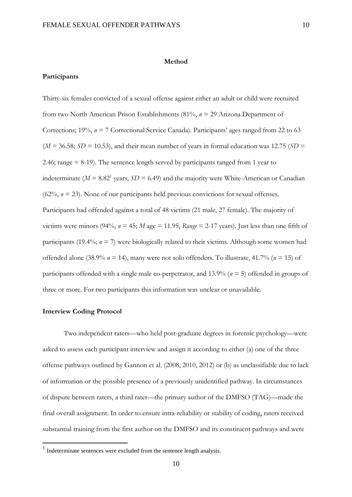#### **Method**

#### **Participants**

Thirty-six females convicted of a sexual offense against either an adult or child were recruited from two North American Prison Establishments (81%, *n* = 29 Arizona Department of Corrections; 19%, *n* = 7 Correctional Service Canada). Participants' ages ranged from 22 to 63  $(M = 36.58; SD = 10.53)$ , and their mean number of years in formal education was 12.75 ( $SD =$ 2.46; range = 8-19). The sentence length served by participants ranged from 1 year to indeterminate ( $M = 8.82^1$  years;  $SD = 6.49$ ) and the majority were White-American or Canadian  $(62\%, n = 23)$ . None of our participants held previous convictions for sexual offenses. Participants had offended against a total of 48 victims (21 male, 27 female). The majority of victims were minors (94%,  $n = 45$ ; *M* age = 11.95, *Range* = 2-17 years). Just less than one fifth of participants (19.4%;  $n = 7$ ) were biologically related to their victims. Although some women had offended alone (38.9% *n* = 14), many were not solo offenders. To illustrate, 41.7% (*n* = 15) of participants offended with a single male co-perpetrator, and 13.9% (*n* = 5) offended in groups of three or more. For two participants this information was unclear or unavailable.

#### **Interview Coding Protocol**

<u>.</u>

Two independent raters—who held post-graduate degrees in forensic psychology—were asked to assess each participant interview and assign it according to either (a) one of the three offense pathways outlined by Gannon et al. (2008, 2010, 2012) or (b) as unclassifiable due to lack of information or the possible presence of a previously unidentified pathway. In circumstances of dispute between raters, a third rater—the primary author of the DMFSO (TAG)—made the final overall assignment. In order to ensure intra-reliability or stability of coding, raters received substantial training from the first author on the DMFSO and its constituent pathways and were

<sup>&</sup>lt;sup>1</sup> Indeterminate sentences were excluded from the sentence length analysis.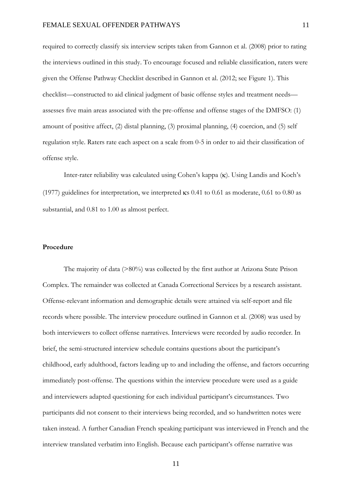required to correctly classify six interview scripts taken from Gannon et al. (2008) prior to rating the interviews outlined in this study. To encourage focused and reliable classification, raters were given the Offense Pathway Checklist described in Gannon et al. (2012; see Figure 1). This checklist—constructed to aid clinical judgment of basic offense styles and treatment needs assesses five main areas associated with the pre-offense and offense stages of the DMFSO: (1) amount of positive affect, (2) distal planning, (3) proximal planning, (4) coercion, and (5) self regulation style. Raters rate each aspect on a scale from 0-5 in order to aid their classification of offense style.

Inter-rater reliability was calculated using Cohen's kappa  $(\kappa)$ . Using Landis and Koch's (1977) guidelines for interpretation, we interpreted  $\kappa s$  0.41 to 0.61 as moderate, 0.61 to 0.80 as substantial, and 0.81 to 1.00 as almost perfect.

#### **Procedure**

The majority of data (>80%) was collected by the first author at Arizona State Prison Complex. The remainder was collected at Canada Correctional Services by a research assistant. Offense-relevant information and demographic details were attained via self-report and file records where possible. The interview procedure outlined in Gannon et al. (2008) was used by both interviewers to collect offense narratives. Interviews were recorded by audio recorder. In brief, the semi-structured interview schedule contains questions about the participant's childhood, early adulthood, factors leading up to and including the offense, and factors occurring immediately post-offense. The questions within the interview procedure were used as a guide and interviewers adapted questioning for each individual participant's circumstances. Two participants did not consent to their interviews being recorded, and so handwritten notes were taken instead. A further Canadian French speaking participant was interviewed in French and the interview translated verbatim into English. Because each participant's offense narrative was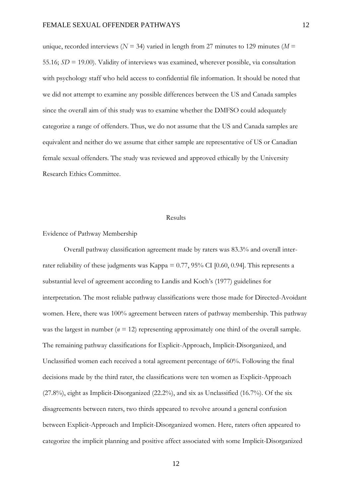unique, recorded interviews ( $N = 34$ ) varied in length from 27 minutes to 129 minutes ( $M =$ 55.16; *SD* = 19.00). Validity of interviews was examined, wherever possible, via consultation with psychology staff who held access to confidential file information. It should be noted that we did not attempt to examine any possible differences between the US and Canada samples since the overall aim of this study was to examine whether the DMFSO could adequately categorize a range of offenders. Thus, we do not assume that the US and Canada samples are equivalent and neither do we assume that either sample are representative of US or Canadian female sexual offenders. The study was reviewed and approved ethically by the University Research Ethics Committee.

#### Results

#### Evidence of Pathway Membership

Overall pathway classification agreement made by raters was 83.3% and overall interrater reliability of these judgments was Kappa = 0.77, 95% CI [0.60, 0.94]. This represents a substantial level of agreement according to Landis and Koch's (1977) guidelines for interpretation. The most reliable pathway classifications were those made for Directed-Avoidant women. Here, there was 100% agreement between raters of pathway membership. This pathway was the largest in number  $(n = 12)$  representing approximately one third of the overall sample. The remaining pathway classifications for Explicit-Approach, Implicit-Disorganized, and Unclassified women each received a total agreement percentage of 60%. Following the final decisions made by the third rater, the classifications were ten women as Explicit-Approach (27.8%), eight as Implicit-Disorganized (22.2%), and six as Unclassified (16.7%). Of the six disagreements between raters, two thirds appeared to revolve around a general confusion between Explicit-Approach and Implicit-Disorganized women. Here, raters often appeared to categorize the implicit planning and positive affect associated with some Implicit-Disorganized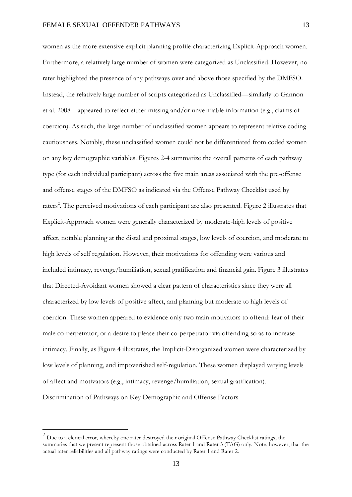women as the more extensive explicit planning profile characterizing Explicit-Approach women. Furthermore, a relatively large number of women were categorized as Unclassified. However, no rater highlighted the presence of any pathways over and above those specified by the DMFSO. Instead, the relatively large number of scripts categorized as Unclassified—similarly to Gannon et al. 2008—appeared to reflect either missing and/or unverifiable information (e.g., claims of coercion). As such, the large number of unclassified women appears to represent relative coding cautiousness. Notably, these unclassified women could not be differentiated from coded women on any key demographic variables. Figures 2-4 summarize the overall patterns of each pathway type (for each individual participant) across the five main areas associated with the pre-offense and offense stages of the DMFSO as indicated via the Offense Pathway Checklist used by raters<sup>2</sup>. The perceived motivations of each participant are also presented. Figure 2 illustrates that Explicit-Approach women were generally characterized by moderate-high levels of positive affect, notable planning at the distal and proximal stages, low levels of coercion, and moderate to

high levels of self regulation. However, their motivations for offending were various and included intimacy, revenge/humiliation, sexual gratification and financial gain. Figure 3 illustrates that Directed-Avoidant women showed a clear pattern of characteristics since they were all characterized by low levels of positive affect, and planning but moderate to high levels of coercion. These women appeared to evidence only two main motivators to offend: fear of their male co-perpetrator, or a desire to please their co-perpetrator via offending so as to increase intimacy. Finally, as Figure 4 illustrates, the Implicit-Disorganized women were characterized by low levels of planning, and impoverished self-regulation. These women displayed varying levels of affect and motivators (e.g., intimacy, revenge/humiliation, sexual gratification). Discrimination of Pathways on Key Demographic and Offense Factors

<u>.</u>

 $2$  Due to a clerical error, whereby one rater destroyed their original Offense Pathway Checklist ratings, the summaries that we present represent those obtained across Rater 1 and Rater 3 (TAG) only. Note, however, that the actual rater reliabilities and all pathway ratings were conducted by Rater 1 and Rater 2.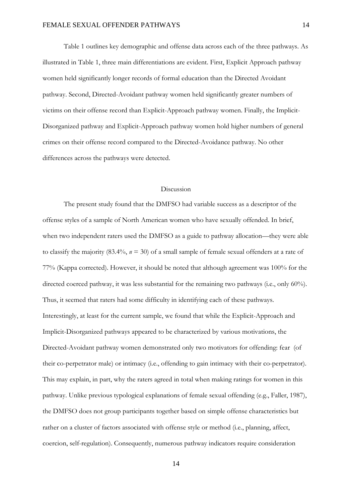Table 1 outlines key demographic and offense data across each of the three pathways. As illustrated in Table 1, three main differentiations are evident. First, Explicit Approach pathway women held significantly longer records of formal education than the Directed Avoidant pathway. Second, Directed-Avoidant pathway women held significantly greater numbers of victims on their offense record than Explicit-Approach pathway women. Finally, the Implicit-Disorganized pathway and Explicit-Approach pathway women hold higher numbers of general crimes on their offense record compared to the Directed-Avoidance pathway. No other differences across the pathways were detected.

#### Discussion

The present study found that the DMFSO had variable success as a descriptor of the offense styles of a sample of North American women who have sexually offended. In brief, when two independent raters used the DMFSO as a guide to pathway allocation—they were able to classify the majority (83.4%, *n* = 30) of a small sample of female sexual offenders at a rate of 77% (Kappa corrected). However, it should be noted that although agreement was 100% for the directed coerced pathway, it was less substantial for the remaining two pathways (i.e., only 60%). Thus, it seemed that raters had some difficulty in identifying each of these pathways. Interestingly, at least for the current sample, we found that while the Explicit-Approach and Implicit-Disorganized pathways appeared to be characterized by various motivations, the Directed-Avoidant pathway women demonstrated only two motivators for offending: fear (of their co-perpetrator male) or intimacy (i.e., offending to gain intimacy with their co-perpetrator). This may explain, in part, why the raters agreed in total when making ratings for women in this pathway. Unlike previous typological explanations of female sexual offending (e.g., Faller, 1987), the DMFSO does not group participants together based on simple offense characteristics but rather on a cluster of factors associated with offense style or method (i.e., planning, affect, coercion, self-regulation). Consequently, numerous pathway indicators require consideration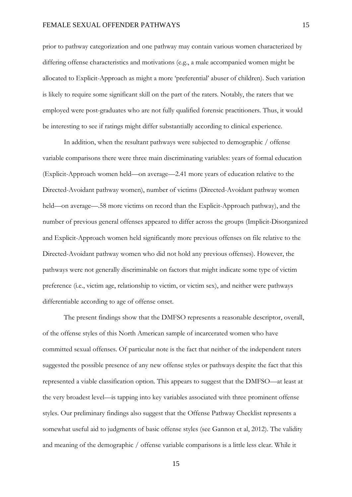#### FEMALE SEXUAL OFFENDER PATHWAYS

prior to pathway categorization and one pathway may contain various women characterized by differing offense characteristics and motivations (e.g., a male accompanied women might be allocated to Explicit-Approach as might a more 'preferential' abuser of children). Such variation is likely to require some significant skill on the part of the raters. Notably, the raters that we employed were post-graduates who are not fully qualified forensic practitioners. Thus, it would be interesting to see if ratings might differ substantially according to clinical experience.

In addition, when the resultant pathways were subjected to demographic / offense variable comparisons there were three main discriminating variables: years of formal education (Explicit-Approach women held—on average—2.41 more years of education relative to the Directed-Avoidant pathway women), number of victims (Directed-Avoidant pathway women held—on average—.58 more victims on record than the Explicit-Approach pathway), and the number of previous general offenses appeared to differ across the groups (Implicit-Disorganized and Explicit-Approach women held significantly more previous offenses on file relative to the Directed-Avoidant pathway women who did not hold any previous offenses). However, the pathways were not generally discriminable on factors that might indicate some type of victim preference (i.e., victim age, relationship to victim, or victim sex), and neither were pathways differentiable according to age of offense onset.

The present findings show that the DMFSO represents a reasonable descriptor, overall, of the offense styles of this North American sample of incarcerated women who have committed sexual offenses. Of particular note is the fact that neither of the independent raters suggested the possible presence of any new offense styles or pathways despite the fact that this represented a viable classification option. This appears to suggest that the DMFSO—at least at the very broadest level—is tapping into key variables associated with three prominent offense styles. Our preliminary findings also suggest that the Offense Pathway Checklist represents a somewhat useful aid to judgments of basic offense styles (see Gannon et al, 2012). The validity and meaning of the demographic / offense variable comparisons is a little less clear. While it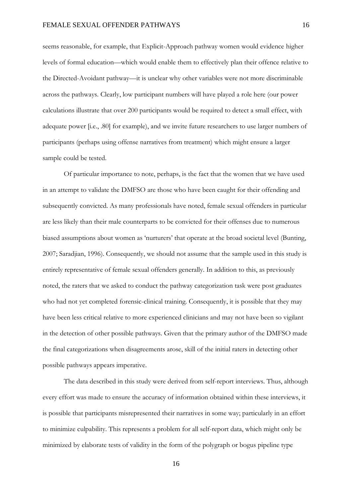seems reasonable, for example, that Explicit-Approach pathway women would evidence higher levels of formal education—which would enable them to effectively plan their offence relative to the Directed-Avoidant pathway—it is unclear why other variables were not more discriminable across the pathways. Clearly, low participant numbers will have played a role here (our power calculations illustrate that over 200 participants would be required to detect a small effect, with adequate power [i.e., .80] for example), and we invite future researchers to use larger numbers of participants (perhaps using offense narratives from treatment) which might ensure a larger sample could be tested.

Of particular importance to note, perhaps, is the fact that the women that we have used in an attempt to validate the DMFSO are those who have been caught for their offending and subsequently convicted. As many professionals have noted, female sexual offenders in particular are less likely than their male counterparts to be convicted for their offenses due to numerous biased assumptions about women as 'nurturers' that operate at the broad societal level (Bunting, 2007; Saradjian, 1996). Consequently, we should not assume that the sample used in this study is entirely representative of female sexual offenders generally. In addition to this, as previously noted, the raters that we asked to conduct the pathway categorization task were post graduates who had not yet completed forensic-clinical training. Consequently, it is possible that they may have been less critical relative to more experienced clinicians and may not have been so vigilant in the detection of other possible pathways. Given that the primary author of the DMFSO made the final categorizations when disagreements arose, skill of the initial raters in detecting other possible pathways appears imperative.

The data described in this study were derived from self-report interviews. Thus, although every effort was made to ensure the accuracy of information obtained within these interviews, it is possible that participants misrepresented their narratives in some way; particularly in an effort to minimize culpability. This represents a problem for all self-report data, which might only be minimized by elaborate tests of validity in the form of the polygraph or bogus pipeline type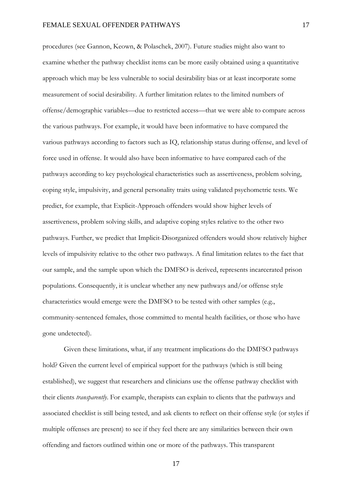procedures (see Gannon, Keown, & Polaschek, 2007). Future studies might also want to examine whether the pathway checklist items can be more easily obtained using a quantitative approach which may be less vulnerable to social desirability bias or at least incorporate some measurement of social desirability. A further limitation relates to the limited numbers of offense/demographic variables—due to restricted access—that we were able to compare across the various pathways. For example, it would have been informative to have compared the various pathways according to factors such as IQ, relationship status during offense, and level of force used in offense. It would also have been informative to have compared each of the pathways according to key psychological characteristics such as assertiveness, problem solving, coping style, impulsivity, and general personality traits using validated psychometric tests. We predict, for example, that Explicit-Approach offenders would show higher levels of assertiveness, problem solving skills, and adaptive coping styles relative to the other two pathways. Further, we predict that Implicit-Disorganized offenders would show relatively higher levels of impulsivity relative to the other two pathways. A final limitation relates to the fact that our sample, and the sample upon which the DMFSO is derived, represents incarcerated prison populations. Consequently, it is unclear whether any new pathways and/or offense style characteristics would emerge were the DMFSO to be tested with other samples (e.g., community-sentenced females, those committed to mental health facilities, or those who have gone undetected).

Given these limitations, what, if any treatment implications do the DMFSO pathways hold? Given the current level of empirical support for the pathways (which is still being established), we suggest that researchers and clinicians use the offense pathway checklist with their clients *transparently*. For example, therapists can explain to clients that the pathways and associated checklist is still being tested, and ask clients to reflect on their offense style (or styles if multiple offenses are present) to see if they feel there are any similarities between their own offending and factors outlined within one or more of the pathways. This transparent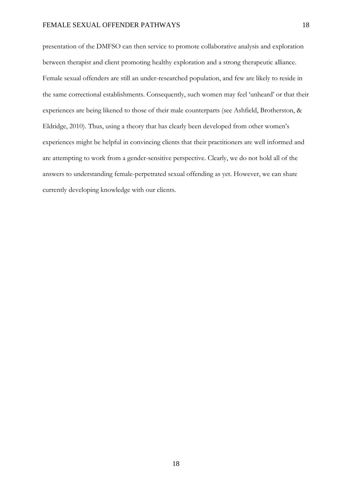presentation of the DMFSO can then service to promote collaborative analysis and exploration between therapist and client promoting healthy exploration and a strong therapeutic alliance. Female sexual offenders are still an under-researched population, and few are likely to reside in the same correctional establishments. Consequently, such women may feel 'unheard' or that their experiences are being likened to those of their male counterparts (see Ashfield, Brotherston, & Eldridge, 2010). Thus, using a theory that has clearly been developed from other women's experiences might be helpful in convincing clients that their practitioners are well informed and are attempting to work from a gender-sensitive perspective. Clearly, we do not hold all of the answers to understanding female-perpetrated sexual offending as yet. However, we can share currently developing knowledge with our clients.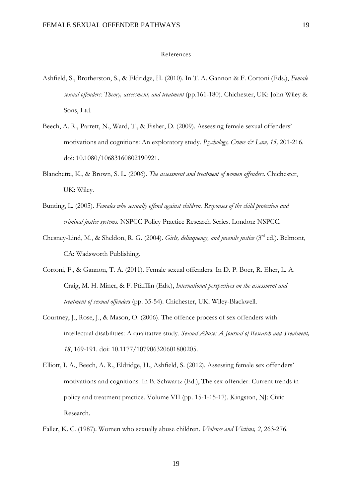#### References

- Ashfield, S., Brotherston, S., & Eldridge, H. (2010). In T. A. Gannon & F. Cortoni (Eds.), *Female sexual offenders: Theory, assessment, and treatment* (pp.161-180). Chichester, UK: John Wiley & Sons, Ltd.
- Beech, A. R., Parrett, N., Ward, T., & Fisher, D. (2009). Assessing female sexual offenders' motivations and cognitions: An exploratory study. *Psychology, Crime & Law, 15,* 201-216. doi: 10.1080/10683160802190921.
- Blanchette, K., & Brown, S. L. (2006). *The assessment and treatment of women offenders.* Chichester, UK: Wiley.
- Bunting, L. (2005). *Females who sexually offend against children. Responses of the child protection and criminal justice systems.* NSPCC Policy Practice Research Series. London: NSPCC.
- Chesney-Lind, M., & Sheldon, R. G. (2004). *Girls, delinquency, and juvenile justice* (3rd ed.). Belmont, CA: Wadsworth Publishing.
- Cortoni, F., & Gannon, T. A. (2011). Female sexual offenders. In D. P. Boer, R. Eher, L. A. Craig, M. H. Miner, & F. Pfäfflin (Eds.), *International perspectives on the assessment and treatment of sexual offenders* (pp. 35-54). Chichester, UK. Wiley-Blackwell.
- Courtney, J., Rose, J., & Mason, O. (2006). The offence process of sex offenders with intellectual disabilities: A qualitative study. *Sexual Abuse: A Journal of Research and Treatment, 18*, 169-191. doi: 10.1177/107906320601800205.
- Elliott, I. A., Beech, A. R., Eldridge, H., Ashfield, S. (2012). Assessing female sex offenders' motivations and cognitions. In B. Schwartz (Ed.), The sex offender: Current trends in policy and treatment practice. Volume VII (pp. 15-1-15-17). Kingston, NJ: Civic Research.
- Faller, K. C. (1987). Women who sexually abuse children. *Violence and Victims, 2*, 263-276.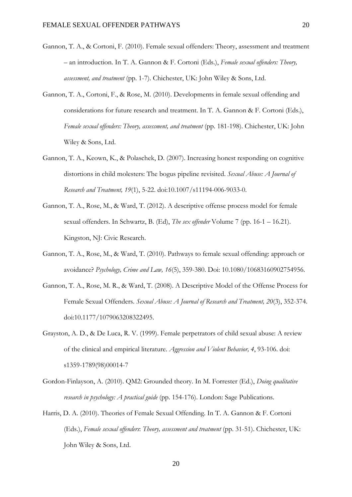- Gannon, T. A., & Cortoni, F. (2010). Female sexual offenders: Theory, assessment and treatment – an introduction. In T. A. Gannon & F. Cortoni (Eds.), *Female sexual offenders: Theory, assessment, and treatment* (pp. 1-7). Chichester, UK: John Wiley & Sons, Ltd.
- Gannon, T. A., Cortoni, F., & Rose, M. (2010). Developments in female sexual offending and considerations for future research and treatment. In T. A. Gannon & F. Cortoni (Eds.), *Female sexual offenders: Theory, assessment, and treatment* (pp. 181-198). Chichester, UK: John Wiley & Sons, Ltd.
- Gannon, T. A., Keown, K., & Polaschek, D. (2007). Increasing honest responding on cognitive distortions in child molesters: The bogus pipeline revisited. *Sexual Abuse: A Journal of Research and Treatment, 19*(1), 5-22. doi:10.1007/s11194-006-9033-0.
- Gannon, T. A., Rose, M., & Ward, T. (2012). A descriptive offense process model for female sexual offenders. In Schwartz, B. (Ed), *The sex offender* Volume 7 (pp. 16-1 – 16.21). Kingston, NJ: Civic Research.
- Gannon, T. A., Rose, M., & Ward, T. (2010). Pathways to female sexual offending: approach or avoidance? *Psychology, Crime and Law, 16*(5), 359-380. Doi: 10.1080/10683160902754956.
- Gannon, T. A., Rose, M. R., & Ward, T. (2008). A Descriptive Model of the Offense Process for Female Sexual Offenders. *Sexual Abuse: A Journal of Research and Treatment, 20*(3), 352-374. doi:10.1177/1079063208322495.
- Grayston, A. D., & De Luca, R. V. (1999). Female perpetrators of child sexual abuse: A review of the clinical and empirical literature. *Aggression and Violent Behavior, 4*, 93-106. doi: s1359-1789(98)00014-7
- Gordon-Finlayson, A. (2010). QM2: Grounded theory. In M. Forrester (Ed.), *Doing qualitative research in psychology: A practical guide* (pp. 154-176). London: Sage Publications.
- Harris, D. A. (2010). Theories of Female Sexual Offending. In T. A. Gannon & F. Cortoni (Eds.), *Female sexual offenders*: *Theory, assessment and treatment* (pp. 31-51). Chichester, UK: John Wiley & Sons, Ltd.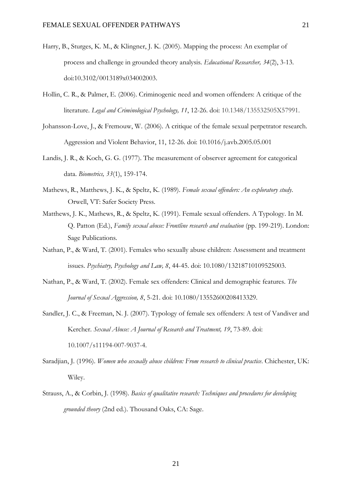- Harry, B., Sturges, K. M., & Klingner, J. K. (2005). Mapping the process: An exemplar of process and challenge in grounded theory analysis. *Educational Researcher, 34*(2), 3-13. doi:10.3102/0013189x034002003.
- Hollin, C. R., & Palmer, E. (2006). Criminogenic need and women offenders: A critique of the literature. *Legal and Criminological Psychology, 11*, 12-26. doi: 10.1348/135532505X57991.
- Johansson-Love, J., & Fremouw, W. (2006). A critique of the female sexual perpetrator research. Aggression and Violent Behavior, 11, 12-26. doi: 10.1016/j.avb.2005.05.001
- Landis, J. R., & Koch, G. G. (1977). The measurement of observer agreement for categorical data. *Biometrics, 33*(1), 159-174.
- Mathews, R., Matthews, J. K., & Speltz, K. (1989). *Female sexual offenders: An exploratory study*. Orwell, VT: Safer Society Press.
- Matthews, J. K., Mathews, R., & Speltz, K. (1991). Female sexual offenders. A Typology. In M. Q. Patton (Ed.), *Family sexual abuse: Frontline research and evaluation* (pp. 199-219). London: Sage Publications.
- Nathan, P., & Ward, T. (2001). Females who sexually abuse children: Assessment and treatment issues. *Psychiatry, Psychology and Law, 8*, 44-45. doi: 10.1080/13218710109525003.
- Nathan, P., & Ward, T. (2002). Female sex offenders: Clinical and demographic features. *The Journal of Sexual Aggression, 8*, 5-21. doi: 10.1080/13552600208413329.
- Sandler, J. C., & Freeman, N. J. (2007). Typology of female sex offenders: A test of Vandiver and Kercher. *Sexual Abuse: A Journal of Research and Treatment, 19*, 73-89. doi: 10.1007/s11194-007-9037-4.
- Saradjian, J. (1996). *Women who sexually abuse children: From research to clinical practice*. Chichester, UK: Wiley.
- Strauss, A., & Corbin, J. (1998). *Basics of qualitative research: Techniques and procedures for developing grounded theory* (2nd ed.). Thousand Oaks, CA: Sage.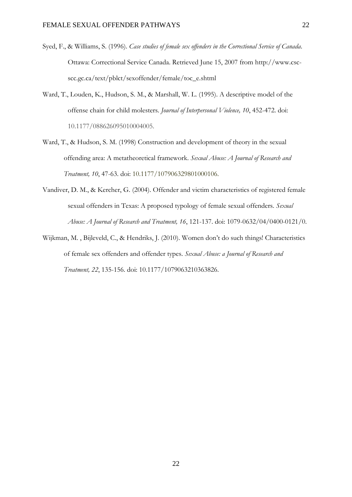- Syed, F., & Williams, S. (1996). *Case studies of female sex offenders in the Correctional Service of Canada*. Ottawa: Correctional Service Canada. Retrieved June 15, 2007 from http://www.cscscc.gc.ca/text/pblct/sexoffender/female/toc\_e.shtml
- Ward, T., Louden, K., Hudson, S. M., & Marshall, W. L. (1995). A descriptive model of the offense chain for child molesters. *Journal of Interpersonal Violence, 10*, 452-472. doi: 10.1177/088626095010004005.
- Ward, T., & Hudson, S. M. (1998) Construction and development of theory in the sexual offending area: A metatheoretical framework. *Sexual Abuse: A Journal of Research and Treatment, 10*, 47-63. doi: 10.1177/107906329801000106.
- Vandiver, D. M., & Kercher, G. (2004). Offender and victim characteristics of registered female sexual offenders in Texas: A proposed typology of female sexual offenders. *Sexual Abuse: A Journal of Research and Treatment, 16*, 121-137. doi: 1079-0632/04/0400-0121/0.
- Wijkman, M. , Bijleveld, C., & Hendriks, J. (2010). Women don't do such things! Characteristics of female sex offenders and offender types. *Sexual Abuse: a Journal of Research and Treatment, 22*, 135-156. doi: 10.1177/1079063210363826.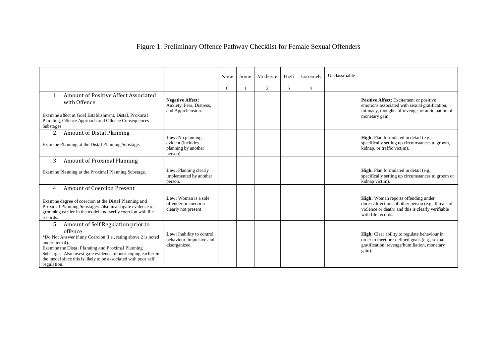| Figure 1: Preliminary Offence Pathway Checklist for Female Sexual Offenders |  |  |  |  |
|-----------------------------------------------------------------------------|--|--|--|--|
|                                                                             |  |  |  |  |

|                                                                                                                                                                                                                                                                                                                                                |                                                                          | None     | Some | Moderate | High | Extremely      | Unclassifiable |                                                                                                                                                                              |
|------------------------------------------------------------------------------------------------------------------------------------------------------------------------------------------------------------------------------------------------------------------------------------------------------------------------------------------------|--------------------------------------------------------------------------|----------|------|----------|------|----------------|----------------|------------------------------------------------------------------------------------------------------------------------------------------------------------------------------|
| Amount of Positive Affect Associated<br>with Offence<br>Examine affect at Goal Establishment, Distal, Proximal<br>Planning, Offence Approach and Offence Consequences<br>Substages.                                                                                                                                                            | <b>Negative Affect:</b><br>Anxiety, Fear, Distress,<br>and Apprehension. | $\Omega$ |      | 2        | 3    | $\overline{4}$ |                | Positive Affect: Excitement or positive<br>emotions associated with sexual gratification,<br>intimacy, thoughts of revenge, or anticipation of<br>monetary gain.             |
| 2.<br><b>Amount of Distal Planning</b><br>Examine Planning at the Distal Planning Substage.                                                                                                                                                                                                                                                    | Low: No planning<br>evident (includes<br>planning by another<br>person). |          |      |          |      |                |                | <b>High:</b> Plan formulated in detail (e.g.,<br>specifically setting up circumstances to groom,<br>kidnap, or traffic victim).                                              |
| 3.<br><b>Amount of Proximal Planning</b><br>Examine Planning at the Proximal Planning Substage.                                                                                                                                                                                                                                                | Low: Planning clearly<br>implemented by another<br>person.               |          |      |          |      |                |                | High: Plan formulated in detail (e.g.,<br>specifically setting up circumstances to groom or<br>kidnap victim).                                                               |
| <b>Amount of Coercion Present</b><br>4.<br>Examine degree of coercion at the Distal Planning and<br>Proximal Planning Substages. Also investigate evidence of<br>grooming earlier in the model and verify coercion with file<br>records.                                                                                                       | Low: Woman is a sole<br>offender or coercion<br>clearly not present      |          |      |          |      |                |                | <b>High:</b> Woman reports offending under<br>duress/directions of other person (e.g., threats of<br>violence or death) and this is clearly verifiable<br>with file records. |
| Amount of Self Regulation prior to<br>5.<br>offence<br>*Do Not Answer if any Coercion (i.e., rating above 2 is noted<br>under item 4).<br>Examine the Distal Planning and Proximal Planning<br>Substages. Also investigate evidence of poor coping earlier in<br>the model since this is likely to be associated with poor self<br>regulation. | Low: Inability to control<br>behaviour, impulsive and<br>disorganized.   |          |      |          |      |                |                | High: Clear ability to regulate behaviour in<br>order to meet pre-defined goals (e.g., sexual<br>gratification, revenge/humiliation, monetary<br>gain).                      |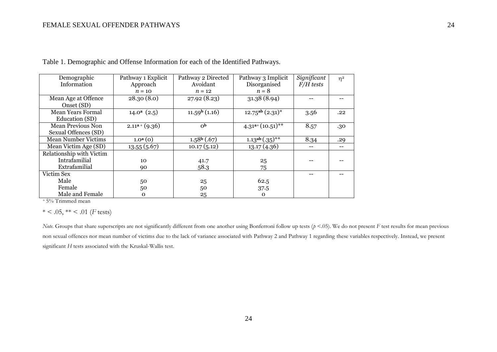| Demographic                | Pathway 1 Explicit  | Pathway 2 Directed | Pathway 3 Implicit        | Significant | $\eta^2$ |
|----------------------------|---------------------|--------------------|---------------------------|-------------|----------|
| Information                | Approach            | Avoidant           | Disorganised              | $F/H$ tests |          |
|                            | $n = 10$            | $n = 12$           | $n = 8$                   |             |          |
| Mean Age at Offence        | 28.30(8.0)          | 27.92 (8.23)       | 31.38 (8.94)              |             |          |
| Onset (SD)                 |                     |                    |                           |             |          |
| Mean Years Formal          | $14.0^a$ $(2.5)$    | $11.59b$ (1.16)    | $12.75^{ab}$ $(2.31)^{*}$ | 3.56        | .22      |
| Education (SD)             |                     |                    |                           |             |          |
| <b>Mean Previous Non</b>   | $2.11^{a}$ + (9.36) | 0 <sub>p</sub>     | $4.31^{a+}(10.51)^{**}$   | 8.57        | .30      |
| Sexual Offences (SD)       |                     |                    |                           |             |          |
| <b>Mean Number Victims</b> | $1.0^{a}(0)$        | $1.58b$ (.67)      | $1.13^{ab}(.35)^{**}$     | 8.34        | .29      |
| Mean Victim Age (SD)       | 13.55(5.67)         | 10.17(5.12)        | 13.17(4.36)               | $-$         |          |
| Relationship with Victim   |                     |                    |                           |             |          |
| Intrafamilial              | 10                  | 41.7               | 25                        |             |          |
| Extrafamilial              | 90                  | 58.3               | 75                        |             |          |
| Victim Sex                 |                     |                    |                           |             |          |
| Male                       | 50                  | 25                 | 62.5                      |             |          |
| Female                     | 50                  | 50                 | 37.5                      |             |          |
| Male and Female            | $\mathbf{o}$        | 25                 | $\Omega$                  |             |          |

Table 1. Demographic and Offense Information for each of the Identified Pathways.

<sup>+</sup>5% Trimmed mean

 $* < .05, ** < .01$  (*F* tests)

*Note.* Groups that share superscripts are not significantly different from one another using Bonferroni follow up tests ( $p$  <.05). We do not present *F* test results for mean previous non sexual offences nor mean number of victims due to the lack of variance associated with Pathway 2 and Pathway 1 regarding these variables respectively. Instead, we present significant *H* tests associated with the Kruskal-Wallis test.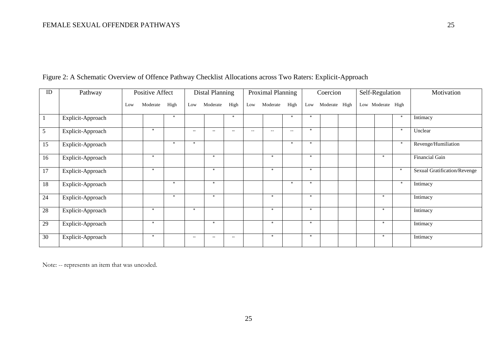| ID | Pathway           | Positive Affect |          |        | Distal Planning          |                          |                          | Proximal Planning        |          |                          | Coercion |               |  | Self-Regulation   |        | Motivation                   |
|----|-------------------|-----------------|----------|--------|--------------------------|--------------------------|--------------------------|--------------------------|----------|--------------------------|----------|---------------|--|-------------------|--------|------------------------------|
|    |                   | Low             | Moderate | High   | Low                      | Moderate                 | High                     | Low                      | Moderate | High                     | Low      | Moderate High |  | Low Moderate High |        |                              |
|    | Explicit-Approach |                 |          | $\ast$ |                          |                          | $*$                      |                          |          | $*$                      | $*$      |               |  |                   | $\ast$ | Intimacy                     |
| 5  | Explicit-Approach |                 | $*$      |        | $\overline{\phantom{a}}$ | $\overline{\phantom{a}}$ | $\overline{\phantom{a}}$ | $\overline{\phantom{a}}$ | --       | $\overline{\phantom{a}}$ | $*$      |               |  |                   | $*$    | Unclear                      |
| 15 | Explicit-Approach |                 |          | $*$    | $*$                      |                          |                          |                          |          | $*$                      | $*$      |               |  |                   | $*$    | Revenge/Humiliation          |
| 16 | Explicit-Approach |                 | $*$      |        |                          | $*$                      |                          |                          | $*$      |                          | $*$      |               |  | $*$               |        | <b>Financial Gain</b>        |
| 17 | Explicit-Approach |                 | $*$      |        |                          | *                        |                          |                          | $*$      |                          | $*$      |               |  |                   | *      | Sexual Gratification/Revenge |
| 18 | Explicit-Approach |                 |          | $*$    |                          | $*$                      |                          |                          |          | $*$                      | $*$      |               |  |                   | $\ast$ | Intimacy                     |
| 24 | Explicit-Approach |                 |          | $\ast$ |                          | $*$                      |                          |                          | $*$      |                          | $*$      |               |  | $*$               |        | Intimacy                     |
| 28 | Explicit-Approach |                 | $*$      |        | $*$                      |                          |                          |                          | $\ast$   |                          | $*$      |               |  | $*$               |        | Intimacy                     |
| 29 | Explicit-Approach |                 | $*$      |        |                          | $*$                      |                          |                          | $*$      |                          | $*$      |               |  | $*$               |        | Intimacy                     |
| 30 | Explicit-Approach |                 | $*$      |        | $\overline{\phantom{a}}$ | $\overline{\phantom{a}}$ | $\overline{\phantom{a}}$ |                          | $*$      |                          | $*$      |               |  | $*$               |        | Intimacy                     |

### Figure 2: A Schematic Overview of Offence Pathway Checklist Allocations across Two Raters: Explicit-Approach

Note: -- represents an item that was uncoded.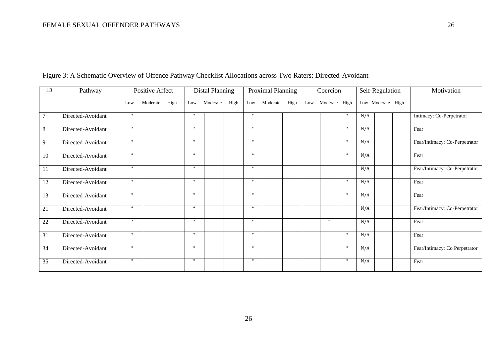| ID | Pathway           |        | Positive Affect |      |        | <b>Distal Planning</b> |      |        | Proximal Planning |      | Coercion |               |        | Self-Regulation   | Motivation                    |
|----|-------------------|--------|-----------------|------|--------|------------------------|------|--------|-------------------|------|----------|---------------|--------|-------------------|-------------------------------|
|    |                   | Low    | Moderate        | High | Low    | Moderate               | High | Low    | Moderate          | High | Low      | Moderate High |        | Low Moderate High |                               |
| 7  | Directed-Avoidant | $\ast$ |                 |      | $\ast$ |                        |      | $*$    |                   |      |          |               | $*$    | N/A               | Intimacy: Co-Perpetrator      |
| 8  | Directed-Avoidant | $*$    |                 |      | $*$    |                        |      | $*$    |                   |      |          |               | $\ast$ | N/A               | Fear                          |
| 9  | Directed-Avoidant | $*$    |                 |      | $\ast$ |                        |      | $\ast$ |                   |      |          |               | $\ast$ | N/A               | Fear/Intimacy: Co-Perpetrator |
| 10 | Directed-Avoidant | $*$    |                 |      | $\ast$ |                        |      | $\ast$ |                   |      |          |               | $\ast$ | N/A               | Fear                          |
| 11 | Directed-Avoidant | $*$    |                 |      | $*$    |                        |      | $*$    |                   |      |          |               |        | N/A               | Fear/Intimacy: Co-Perpetrator |
| 12 | Directed-Avoidant | $*$    |                 |      | $*$    |                        |      | $*$    |                   |      |          |               | $*$    | N/A               | Fear                          |
| 13 | Directed-Avoidant | $*$    |                 |      | $*$    |                        |      | $\ast$ |                   |      |          |               | $\ast$ | N/A               | Fear                          |
| 21 | Directed-Avoidant | $*$    |                 |      | $\ast$ |                        |      | $\ast$ |                   |      |          |               |        | N/A               | Fear/Intimacy: Co-Perpetrator |
| 22 | Directed-Avoidant | $\ast$ |                 |      | $*$    |                        |      | $*$    |                   |      |          | $*$           |        | N/A               | Fear                          |
| 31 | Directed-Avoidant | $*$    |                 |      | $*$    |                        |      | $*$    |                   |      |          |               | $*$    | N/A               | Fear                          |
| 34 | Directed-Avoidant | $*$    |                 |      | $*$    |                        |      | $*$    |                   |      |          |               | $*$    | N/A               | Fear/Intimacy: Co Perpetrator |
| 35 | Directed-Avoidant | $*$    |                 |      | $*$    |                        |      | $\ast$ |                   |      |          |               | $\ast$ | N/A               | Fear                          |

Figure 3: A Schematic Overview of Offence Pathway Checklist Allocations across Two Raters: Directed-Avoidant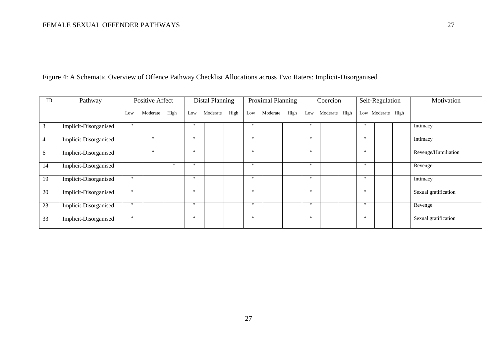| Figure 4: A Schematic Overview of Offence Pathway Checklist Allocations across Two Raters: Implicit-Disorganised |  |  |
|------------------------------------------------------------------------------------------------------------------|--|--|
|------------------------------------------------------------------------------------------------------------------|--|--|

| ID | Pathway               | <b>Positive Affect</b> |          |      | <b>Distal Planning</b> |          |      | Proximal Planning |          |      | Coercion |               |  | Self-Regulation |                   |  | Motivation           |
|----|-----------------------|------------------------|----------|------|------------------------|----------|------|-------------------|----------|------|----------|---------------|--|-----------------|-------------------|--|----------------------|
|    |                       | Low                    | Moderate | High | Low                    | Moderate | High | Low               | Moderate | High | Low      | Moderate High |  |                 | Low Moderate High |  |                      |
| 3  | Implicit-Disorganised | $*$                    |          |      | $*$                    |          |      | $*$               |          |      | $\ast$   |               |  | $\ast$          |                   |  | Intimacy             |
| 4  | Implicit-Disorganised |                        | -sk      |      | $*$                    |          |      | $*$               |          |      | $\ast$   |               |  | $*$             |                   |  | Intimacy             |
| 6  | Implicit-Disorganised |                        | $*$      |      | $*$                    |          |      | $*$               |          |      | $*$      |               |  | $*$             |                   |  | Revenge/Humiliation  |
| 14 | Implicit-Disorganised |                        |          | $*$  | $*$                    |          |      | $*$               |          |      | $*$      |               |  | $\ast$          |                   |  | Revenge              |
| 19 | Implicit-Disorganised | $\ast$                 |          |      | $*$                    |          |      | $*$               |          |      | $*$      |               |  | $\ast$          |                   |  | Intimacy             |
| 20 | Implicit-Disorganised | $*$                    |          |      | $*$                    |          |      | $\ast$            |          |      | *        |               |  | $\ast$          |                   |  | Sexual gratification |
| 23 | Implicit-Disorganised | $*$                    |          |      | $*$                    |          |      | $*$               |          |      | $*$      |               |  | $\ast$          |                   |  | Revenge              |
| 33 | Implicit-Disorganised | *                      |          |      | $*$                    |          |      | $*$               |          |      | $*$      |               |  | $*$             |                   |  | Sexual gratification |